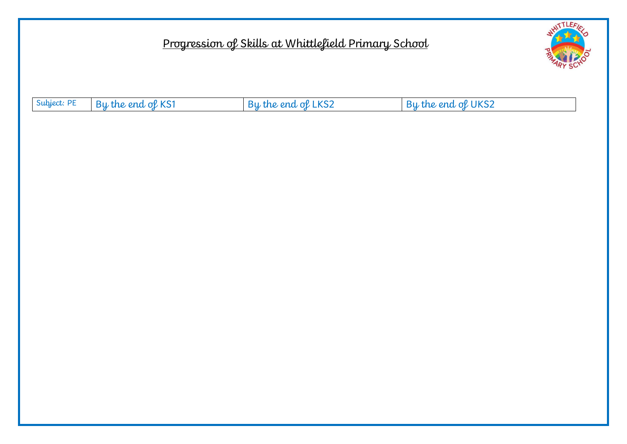## Progression of Skills at Whittlefield Primary School



| Subject: PE By the end of KS1 | By the end of LKS2 | By the end of UKS2 |
|-------------------------------|--------------------|--------------------|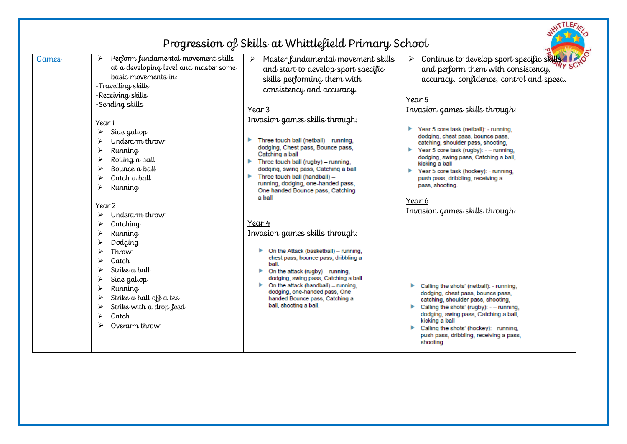|                                                                                                                                                                                                                                                                                                                                                                                                                                                                                                                                                                                                               | <u>Progression of Skills at Whittlefield Primary School</u>                                                                                                                                                                                                                                                                                                                                                                                                                                                                                                                                                                                                                                                                                                                                                                                                   | <b>STLEFI</b>                                                                                                                                                                                                                                                                                                                                                                                                                                                                                                                                                                                                                                                                                                                                                                                                                                                                |
|---------------------------------------------------------------------------------------------------------------------------------------------------------------------------------------------------------------------------------------------------------------------------------------------------------------------------------------------------------------------------------------------------------------------------------------------------------------------------------------------------------------------------------------------------------------------------------------------------------------|---------------------------------------------------------------------------------------------------------------------------------------------------------------------------------------------------------------------------------------------------------------------------------------------------------------------------------------------------------------------------------------------------------------------------------------------------------------------------------------------------------------------------------------------------------------------------------------------------------------------------------------------------------------------------------------------------------------------------------------------------------------------------------------------------------------------------------------------------------------|------------------------------------------------------------------------------------------------------------------------------------------------------------------------------------------------------------------------------------------------------------------------------------------------------------------------------------------------------------------------------------------------------------------------------------------------------------------------------------------------------------------------------------------------------------------------------------------------------------------------------------------------------------------------------------------------------------------------------------------------------------------------------------------------------------------------------------------------------------------------------|
| Perform fundamental movement skills<br>Games<br>➤<br>at a developing level and master some<br>basic movements in:<br>-Travelling skills<br>-Receiving skills<br>-Sending skills<br>Year 1<br>Side gallop<br>➤<br>Underarm throw<br>Running<br>➤<br>Rolling a ball<br>➤<br>Bounce a ball<br>≻<br>Catch a ball<br>↘<br>➤<br>Running<br>Year 2<br>Underarm throw<br>➤<br>➤<br>Catching<br>≻<br>Running<br>≻<br>Dodging<br>↘<br>Throw<br>↘<br>Catch<br>Strike a ball<br>↘<br>➤<br>Side gallop<br>➤<br>Running<br>Strike a ball off a tee<br>➤<br>Strike with a drop feed<br>➤<br>Catch<br>≻<br>Overarm throw<br>⋗ | Master fundamental movement skills<br>and start to develop sport specific<br>skills performing them with<br>consistency and accuracy.<br>Year 3<br>Invasion games skills through:<br>Three touch ball (netball) - running,<br>dodging, Chest pass, Bounce pass,<br>Catching a ball<br>Three touch ball (rugby) - running,<br>dodging, swing pass, Catching a ball<br>Three touch ball (handball) -<br>running, dodging, one-handed pass,<br>One handed Bounce pass, Catching<br>a ball<br>Year 4<br>Invasion games skills through:<br>On the Attack (basketball) - running,<br>chest pass, bounce pass, dribbling a<br>ball.<br>On the attack (rugby) - running,<br>dodging, swing pass, Catching a ball<br>$\triangleright$ On the attack (handball) – running.<br>dodging, one-handed pass, One<br>handed Bounce pass, Catching a<br>ball, shooting a ball. | Continue to develop sport specific skills<br>and perform them with consistency,<br>accuracy, confidence, control and speed.<br>Year 5<br>Invasion games skills through:<br>▶<br>Year 5 core task (netball): - running,<br>dodging, chest pass, bounce pass,<br>catching, shoulder pass, shooting,<br>Year 5 core task (rugby): - - running,<br>dodging, swing pass, Catching a ball,<br>kicking a ball<br>Year 5 core task (hockey): - running,<br>r<br>push pass, dribbling, receiving a<br>pass, shooting.<br>Year 6<br>Invasion games skills through:<br>Calling the shots' (netball): - running,<br>dodging, chest pass, bounce pass,<br>catching, shoulder pass, shooting,<br>Calling the shots' (rugby): - - running,<br>dodging, swing pass, Catching a ball,<br>kicking a ball<br>Calling the shots' (hockey): - running,<br>push pass, dribbling, receiving a pass, |
|                                                                                                                                                                                                                                                                                                                                                                                                                                                                                                                                                                                                               |                                                                                                                                                                                                                                                                                                                                                                                                                                                                                                                                                                                                                                                                                                                                                                                                                                                               | shooting.                                                                                                                                                                                                                                                                                                                                                                                                                                                                                                                                                                                                                                                                                                                                                                                                                                                                    |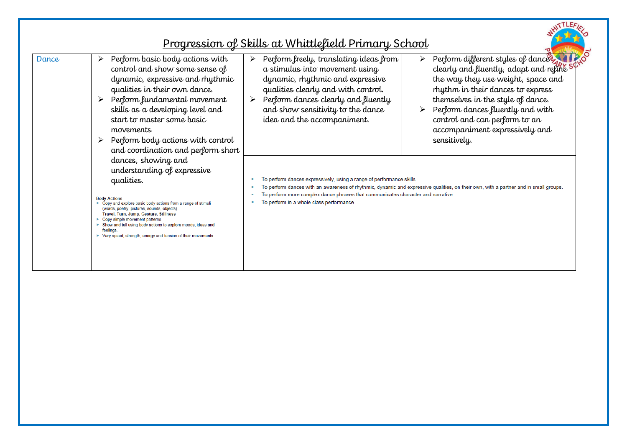|       |                                                                                                                                                                                                                                                                                                                                                                                                                                                   | <u>Progression of Skills at Whittlefield Primary School</u>                                                                                                                                                                                                                                                                                                                                                                                                                                                                                                                                                                                  |
|-------|---------------------------------------------------------------------------------------------------------------------------------------------------------------------------------------------------------------------------------------------------------------------------------------------------------------------------------------------------------------------------------------------------------------------------------------------------|----------------------------------------------------------------------------------------------------------------------------------------------------------------------------------------------------------------------------------------------------------------------------------------------------------------------------------------------------------------------------------------------------------------------------------------------------------------------------------------------------------------------------------------------------------------------------------------------------------------------------------------------|
| Dance | Perform basic body actions with<br>≻<br>control and show some sense of<br>dynamic, expressive and rhythmic<br>qualities in their own dance.<br>Perform fundamental movement<br>skills as a developing level and<br>start to master some basic<br>movements<br>Perform body actions with control<br>and coordination and perform short                                                                                                             | Perform different styles of dance you<br>Perform freely, translating ideas from<br>$\blacktriangleright$<br>clearly and fluently, adapt and refine S<br>a stimulus into movement using<br>the way they use weight, space and<br>dynamic, rhythmic and expressive<br>qualities clearly and with control.<br>rhythm in their dances to express<br>Perform dances clearly and fluently<br>themselves in the style of dance.<br>$\blacktriangleright$<br>and show sensitivity to the dance<br>Perform dances fluently and with<br>control and can perform to an<br>idea and the accompaniment.<br>accompaniment expressively and<br>sensitively. |
|       | dances, showing and<br>understanding of expressive<br>qualities.<br><b>Body Actions</b><br>$\triangleright$ Copy and explore basic body actions from a range of stimuli<br>(words, poetry, pictures, sounds, objects)<br>Travel, Turn, Jump, Gesture, Stillness<br>Copy simple movement patterns<br>> Show and tell using body actions to explore moods, ideas and<br>feelings.<br>▶ Vary speed, strength, energy and tension of their movements. | To perform dances expressively, using a range of performance skills.<br>To perform dances with an awareness of rhythmic, dynamic and expressive qualities, on their own, with a partner and in small groups.<br>٠<br>To perform more complex dance phrases that communicates character and narrative.<br>To perform in a whole class performance.                                                                                                                                                                                                                                                                                            |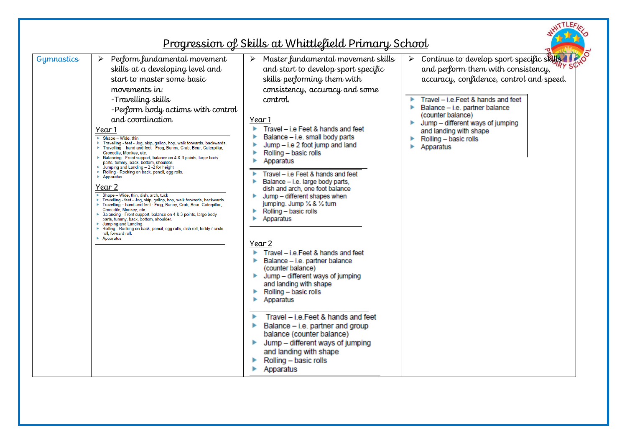|                                                                                                                                                                                                                      |                                                                                                                                                                                                                                                                                                                                                                                                                                                                                                                                                                                                                                                                                                                                                                                                                                                                                                                                                                                                                                   | <u>Progression of Skills at Whittlefield Primary School</u>                                                                                                                                                                                                                                                                                                                                                                                                                                                                                                                                                                                                                                                                                                                                                                                                                                                                                                  |                                                                                                                                                                                                                                                                                                                               |
|----------------------------------------------------------------------------------------------------------------------------------------------------------------------------------------------------------------------|-----------------------------------------------------------------------------------------------------------------------------------------------------------------------------------------------------------------------------------------------------------------------------------------------------------------------------------------------------------------------------------------------------------------------------------------------------------------------------------------------------------------------------------------------------------------------------------------------------------------------------------------------------------------------------------------------------------------------------------------------------------------------------------------------------------------------------------------------------------------------------------------------------------------------------------------------------------------------------------------------------------------------------------|--------------------------------------------------------------------------------------------------------------------------------------------------------------------------------------------------------------------------------------------------------------------------------------------------------------------------------------------------------------------------------------------------------------------------------------------------------------------------------------------------------------------------------------------------------------------------------------------------------------------------------------------------------------------------------------------------------------------------------------------------------------------------------------------------------------------------------------------------------------------------------------------------------------------------------------------------------------|-------------------------------------------------------------------------------------------------------------------------------------------------------------------------------------------------------------------------------------------------------------------------------------------------------------------------------|
| Gymnastics<br>➤<br>Year 1<br>$\triangleright$ Shape - Wide, thin<br>$\blacktriangleright$ Apparatus<br>Year 2<br>$\blacktriangleright$ Jumping and Landing<br>roll, forward roll.<br>$\blacktriangleright$ Apparatus | Perform fundamental movement<br>skills at a developing level and<br>start to master some basic<br>movements in:<br>-Travelling skills<br>-Perform body actions with control<br>and coordination<br>Travelling - feet - Jog, skip, gallop, hop, walk forwards, backwards.<br>Travelling - hand and feet - Frog, Bunny, Crab, Bear, Caterpillar,<br>Crocodile, Monkey, etc.<br>> Balancing - Front support, balance on 4 & 3 points, large body<br>parts, tummy, back, bottom, shoulder.<br>$\blacktriangleright$ Jumping and Landing - 2 -2 for height<br>Rolling - Rocking on back, pencil, egg rolls,<br>$\triangleright$ Shape - Wide, thin, dish, arch, tuck<br>Travelling - feet - Jog, skip, gallop, hop, walk forwards, backwards.<br>Travelling - hand and feet - Frog, Bunny, Crab, Bear, Caterpillar,<br>Crocodile, Monkey, etc.<br>> Balancing - Front support, balance on 4 & 3 points, large body<br>parts, tummy, back, bottom, shoulder.<br>Rolling - Rocking on back, pencil, egg rolls, dish roll, teddy / circle | Master fundamental movement skills<br>and start to develop sport specific<br>skills performing them with<br>consistency, accuracy and some<br>control.<br>Year 1<br>Travel - i.e Feet & hands and feet<br>Balance - i.e. small body parts<br>Jump - i.e 2 foot jump and land<br>Rolling - basic rolls<br>Apparatus<br>Travel - i.e Feet & hands and feet<br>Balance - i.e. large body parts,<br>dish and arch, one foot balance<br>Jump - different shapes when<br>jumping. Jump 1/4 & 1/2 tum<br>Rolling - basic rolls<br>Apparatus<br>Year 2<br>Travel - i.e. Feet & hands and feet<br>Balance - i.e. partner balance<br>(counter balance)<br>Jump - different ways of jumping<br>and landing with shape<br>Rolling - basic rolls<br>Apparatus<br>Travel - i.e. Feet & hands and feet<br>Balance - i.e. partner and group<br>balance (counter balance)<br>Jump - different ways of jumping<br>and landing with shape<br>Rolling - basic rolls<br>Apparatus | Continue to develop sport specific skills<br>and perform them with consistency,<br>accuracy, confidence, control and speed.<br>Travel - i.e. Feet & hands and feet<br>Balance - i.e. partner balance<br>(counter balance)<br>Jump - different ways of jumping<br>and landing with shape<br>Rolling - basic rolls<br>Apparatus |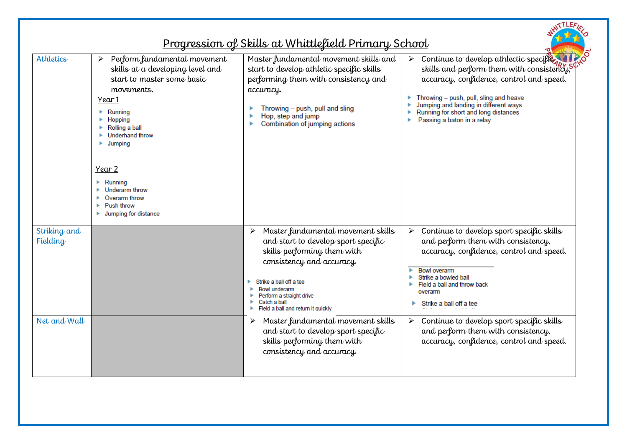|                          |                                                                                                                                                                                                                                                                                                                                   | <u>Progression of Skills at Whittlefield Primary School</u>                                                                                                                                                                                                                     | <b>TTLEA</b>                                                                                                                                                                                                                                                                                  |
|--------------------------|-----------------------------------------------------------------------------------------------------------------------------------------------------------------------------------------------------------------------------------------------------------------------------------------------------------------------------------|---------------------------------------------------------------------------------------------------------------------------------------------------------------------------------------------------------------------------------------------------------------------------------|-----------------------------------------------------------------------------------------------------------------------------------------------------------------------------------------------------------------------------------------------------------------------------------------------|
| Athletics                | Perform fundamental movement<br>➤<br>skills at a developing level and<br>start to master some basic<br>movements.<br>Year 1<br>Running<br>Hopping<br>Rolling a ball<br>r<br><b>Underhand throw</b><br>Jumping<br>Year 2<br>Running<br>Underarm throw<br>Overarm throw<br>Push throw<br>$\blacktriangleright$ Jumping for distance | Master fundamental movement skills and<br>start to develop athletic specific skills<br>performing them with consistency and<br>accuracy.<br>Throwing - push, pull and sling<br>ь<br>Hop, step and jump<br>Combination of jumping actions                                        | Continue to develop athlectic specific<br>skills and perform them with consistency,<br>accuracy, confidence, control and speed.<br>Throwing - push, pull, sling and heave<br>Þ<br>Jumping and landing in different ways<br>Running for short and long distances<br>Passing a baton in a relay |
| Striking and<br>Fielding |                                                                                                                                                                                                                                                                                                                                   | Master fundamental movement skills<br>➤<br>and start to develop sport specific<br>skills performing them with<br>consistency and accuracy.<br>Strike a ball off a tee<br><b>Bowl underarm</b><br>Perform a straight drive<br>Catch a ball<br>Field a ball and return it quickly | Continue to develop sport specific skills<br>➤<br>and perform them with consistency,<br>accuracy, confidence, control and speed.<br>Bowl overarm<br>٠<br>Strike a bowled ball<br>Field a ball and throw back<br>overarm<br>Strike a ball off a tee                                            |
| Net and Wall             |                                                                                                                                                                                                                                                                                                                                   | Master fundamental movement skills<br>≻<br>and start to develop sport specific<br>skills performing them with<br>consistency and accuracy.                                                                                                                                      | $\triangleright$ Continue to develop sport specific skills<br>and perform them with consistency,<br>accuracy, confidence, control and speed.                                                                                                                                                  |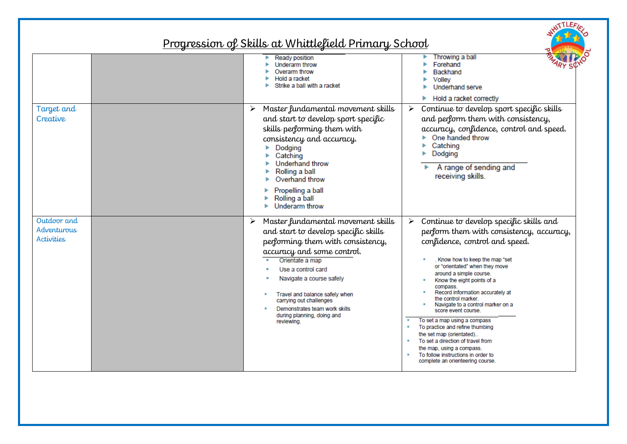## Progression of Skills at Whittlefield Primary School

WITTLEFIE,

|                                          | Ready position<br>Underarm throw<br>Overarm throw<br>Hold a racket<br>Strike a ball with a racket                                                                                                                                                                                                                                                                 | Throwing a ball<br>Forehand<br>Backhand<br>Volley<br>Underhand serve<br>Hold a racket correctly                                                                                                                                                                                                                                                                                                                                                                                                                                                                                                                                                                       |
|------------------------------------------|-------------------------------------------------------------------------------------------------------------------------------------------------------------------------------------------------------------------------------------------------------------------------------------------------------------------------------------------------------------------|-----------------------------------------------------------------------------------------------------------------------------------------------------------------------------------------------------------------------------------------------------------------------------------------------------------------------------------------------------------------------------------------------------------------------------------------------------------------------------------------------------------------------------------------------------------------------------------------------------------------------------------------------------------------------|
| Target and<br>Creative                   | Master fundamental movement skills<br>➤<br>and start to develop sport specific<br>skills performing them with<br>consistency and accuracy.<br>Dodging<br>Catching<br>Underhand throw<br>Rolling a ball<br>Overhand throw<br>Propelling a ball<br>Rolling a ball<br>Underarm throw                                                                                 | Continue to develop sport specific skills<br>$\blacktriangleright$<br>and perform them with consistency,<br>accuracy, confidence, control and speed.<br>One handed throw<br>Catching<br>Dodging<br>A range of sending and<br>receiving skills.                                                                                                                                                                                                                                                                                                                                                                                                                        |
| Outdoor and<br>Adventurous<br>Activities | Master fundamental movement skills<br>➤<br>and start to develop specific skills<br>performing them with consistency,<br>accuracy and some control.<br>Orientate a map<br>Use a control card<br>Navigate a course safely<br>Travel and balance safely when<br>carrying out challenges<br>Demonstrates team work skills<br>during planning, doing and<br>reviewing. | Continue to develop specific skills and<br>$\blacktriangleright$<br>perform them with consistency, accuracy,<br>confidence, control and speed.<br>. Know how to keep the map "set<br>or "orientated" when they move<br>around a simple course.<br>Know the eight points of a<br>compass.<br>Record information accurately at<br>the control marker.<br>Navigate to a control marker on a<br>score event course.<br>To set a map using a compass<br>To practice and refine thumbing<br>٠<br>the set map (orientated)<br>To set a direction of travel from<br>п.<br>the map, using a compass.<br>To follow instructions in order to<br>complete an orienteering course. |